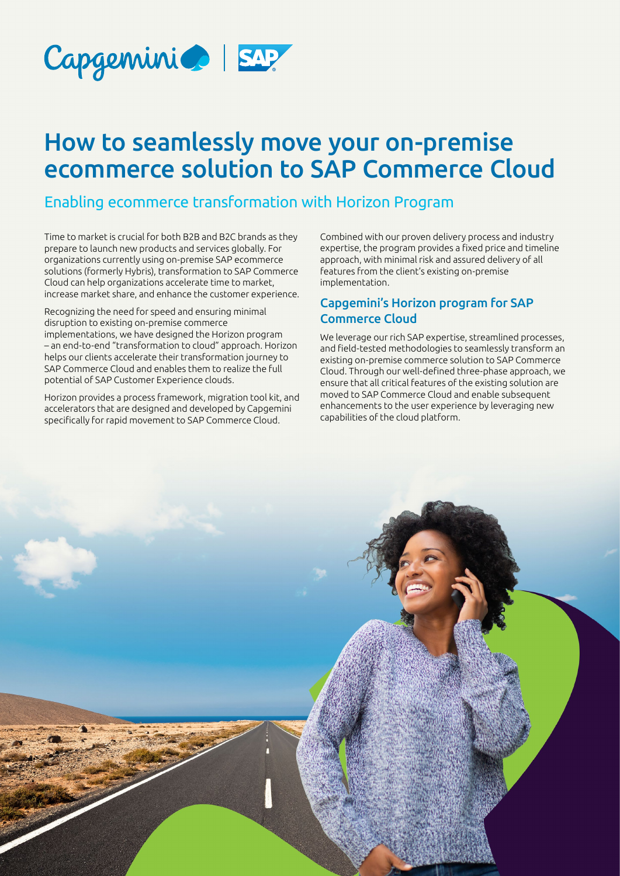

# How to seamlessly move your on-premise ecommerce solution to SAP Commerce Cloud

#### Enabling ecommerce transformation with Horizon Program

Time to market is crucial for both B2B and B2C brands as they prepare to launch new products and services globally. For organizations currently using on-premise SAP ecommerce solutions (formerly Hybris), transformation to SAP Commerce Cloud can help organizations accelerate time to market, increase market share, and enhance the customer experience.

Recognizing the need for speed and ensuring minimal disruption to existing on-premise commerce implementations, we have designed the Horizon program – an end-to-end "transformation to cloud" approach. Horizon helps our clients accelerate their transformation journey to SAP Commerce Cloud and enables them to realize the full potential of SAP Customer Experience clouds.

Horizon provides a process framework, migration tool kit, and accelerators that are designed and developed by Capgemini specifically for rapid movement to SAP Commerce Cloud.

Combined with our proven delivery process and industry expertise, the program provides a fixed price and timeline approach, with minimal risk and assured delivery of all features from the client's existing on-premise implementation.

#### Capgemini's Horizon program for SAP Commerce Cloud

We leverage our rich SAP expertise, streamlined processes, and field-tested methodologies to seamlessly transform an existing on-premise commerce solution to SAP Commerce Cloud. Through our well-defined three-phase approach, we ensure that all critical features of the existing solution are moved to SAP Commerce Cloud and enable subsequent enhancements to the user experience by leveraging new capabilities of the cloud platform.

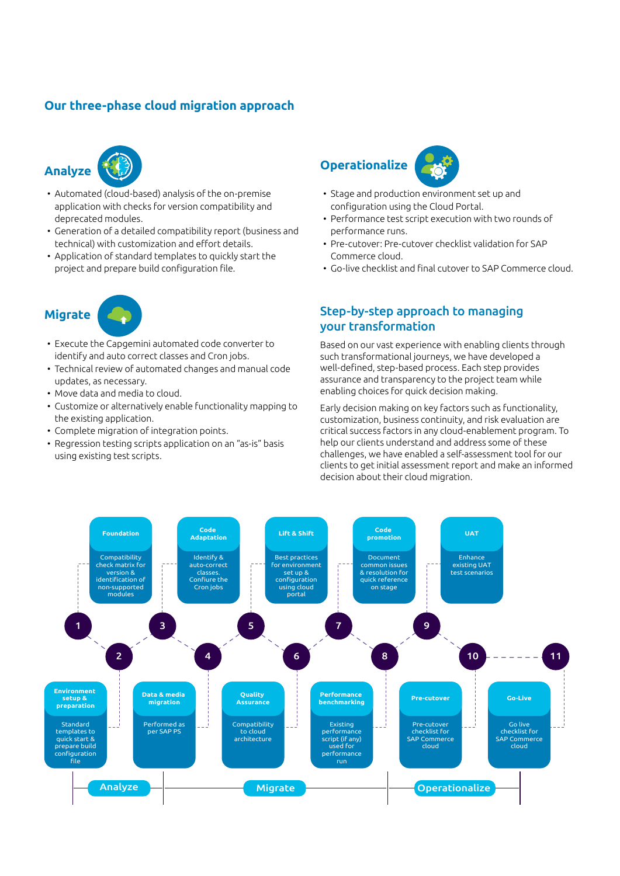#### **Our three-phase cloud migration approach**





- Automated (cloud-based) analysis of the on-premise application with checks for version compatibility and deprecated modules.
- Generation of a detailed compatibility report (business and technical) with customization and effort details.
- Application of standard templates to quickly start the project and prepare build configuration file.

## **Migrate**

- Execute the Capgemini automated code converter to identify and auto correct classes and Cron jobs.
- Technical review of automated changes and manual code updates, as necessary.
- Move data and media to cloud.
- Customize or alternatively enable functionality mapping to the existing application.
- Complete migration of integration points.
- Regression testing scripts application on an "as-is" basis using existing test scripts.

# **Operationalize**



- Stage and production environment set up and configuration using the Cloud Portal.
- Performance test script execution with two rounds of performance runs.
- Pre-cutover: Pre-cutover checklist validation for SAP Commerce cloud.
- Go-live checklist and final cutover to SAP Commerce cloud.

#### Step-by-step approach to managing your transformation

Based on our vast experience with enabling clients through such transformational journeys, we have developed a well-defined, step-based process. Each step provides assurance and transparency to the project team while enabling choices for quick decision making.

Early decision making on key factors such as functionality, customization, business continuity, and risk evaluation are critical success factors in any cloud-enablement program. To help our clients understand and address some of these challenges, we have enabled a self-assessment tool for our clients to get initial assessment report and make an informed decision about their cloud migration.